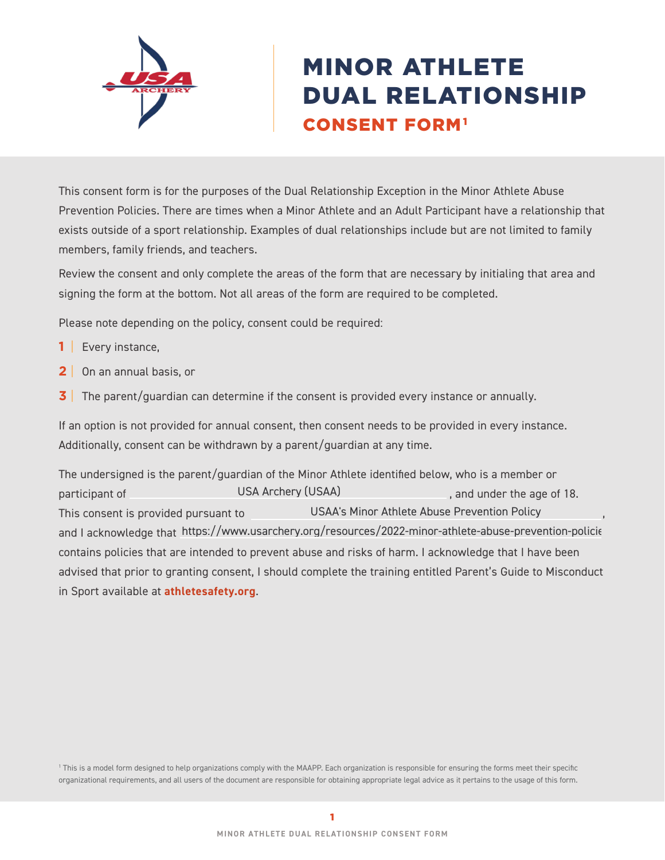

# MINOR ATHLETE DUAL RELATIONSHIP CONSENT FORM1

This consent form is for the purposes of the Dual Relationship Exception in the Minor Athlete Abuse Prevention Policies. There are times when a Minor Athlete and an Adult Participant have a relationship that exists outside of a sport relationship. Examples of dual relationships include but are not limited to family members, family friends, and teachers.

Review the consent and only complete the areas of the form that are necessary by initialing that area and signing the form at the bottom. Not all areas of the form are required to be completed.

Please note depending on the policy, consent could be required:

- **1** | Every instance,
- **2** | On an annual basis, or
- **3** The parent/guardian can determine if the consent is provided every instance or annually.

If an option is not provided for annual consent, then consent needs to be provided in every instance. Additionally, consent can be withdrawn by a parent/guardian at any time.

The undersigned is the parent/guardian of the Minor Athlete identified below, who is a member or participant of **Example 20** USA Archery (USAA) **participant of the age of 18.** This consent is provided pursuant to **COLOG** USAA's Minor Athlete Abuse Prevention Policy Theory and I acknowledge that https://www.usarchery.org/resources/2022-minor-athlete-abuse-prevention-policie contains policies that are intended to prevent abuse and risks of harm. I acknowledge that I have been advised that prior to granting consent, I should complete the training entitled Parent's Guide to Misconduct in Sport available at **[athletesafety.org](https://www.athletesafety.org/)**. USA Archery (USAA)

1 This is a model form designed to help organizations comply with the MAAPP. Each organization is responsible for ensuring the forms meet their specific organizational requirements, and all users of the document are responsible for obtaining appropriate legal advice as it pertains to the usage of this form.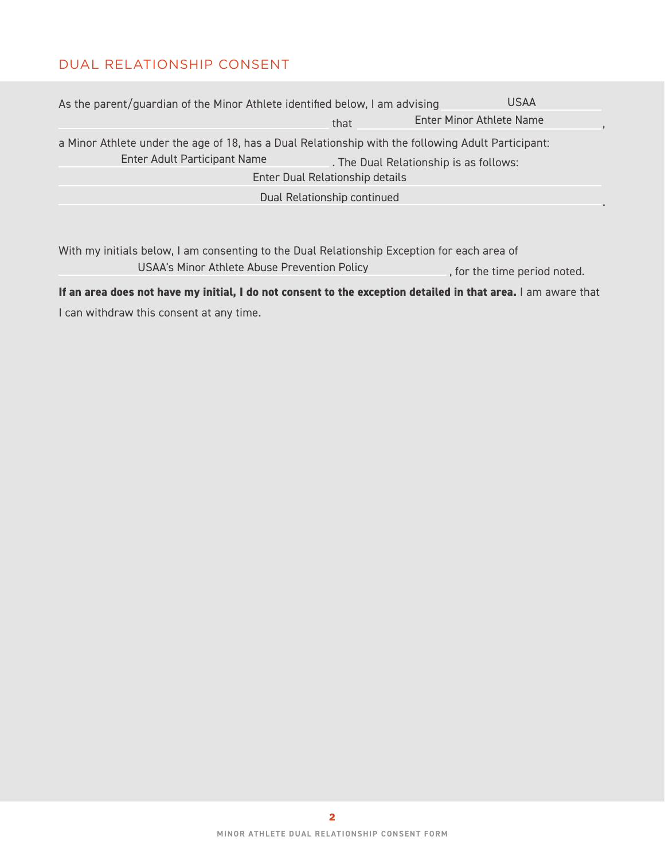## DUAL RELATIONSHIP CONSENT

| As the parent/guardian of the Minor Athlete identified below, I am advising                                                        |                                 | <b>USAA</b>                            |
|------------------------------------------------------------------------------------------------------------------------------------|---------------------------------|----------------------------------------|
|                                                                                                                                    | that                            | Enter Minor Athlete Name               |
| a Minor Athlete under the age of 18, has a Dual Relationship with the following Adult Participant:<br>Enter Adult Participant Name |                                 | . The Dual Relationship is as follows: |
|                                                                                                                                    | Enter Dual Relationship details |                                        |
|                                                                                                                                    | Dual Relationship continued     |                                        |
|                                                                                                                                    |                                 |                                        |

With my initials below, I am consenting to the Dual Relationship Exception for each area of , for the time period noted. USAA's Minor Athlete Abuse Prevention Policy

**If an area does not have my initial, I do not consent to the exception detailed in that area.** I am aware that I can withdraw this consent at any time.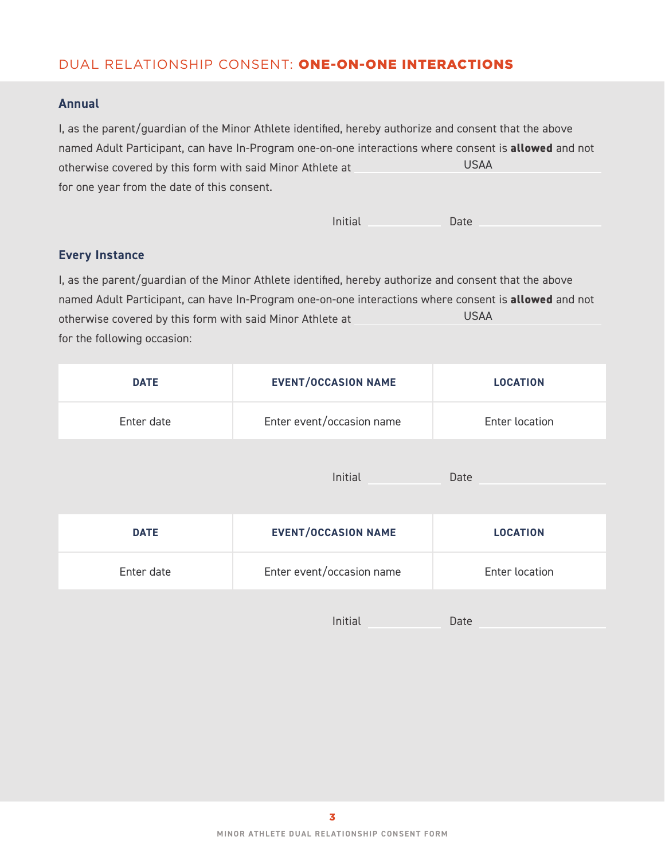## DUAL RELATIONSHIP CONSENT: ONE-ON-ONE INTERACTIONS

#### **Annual**

I, as the parent/guardian of the Minor Athlete identified, hereby authorize and consent that the above named Adult Participant, can have In-Program one-on-one interactions where consent is **allowed** and not otherwise covered by this form with said Minor Athlete at for one year from the date of this consent. USAA

| Initial | Date |
|---------|------|
|         |      |

#### **Every Instance**

I, as the parent/guardian of the Minor Athlete identified, hereby authorize and consent that the above named Adult Participant, can have In-Program one-on-one interactions where consent is **allowed** and not otherwise covered by this form with said Minor Athlete at for the following occasion: USAA

| <b>DATE</b> | <b>EVENT/OCCASION NAME</b> | <b>LOCATION</b> |
|-------------|----------------------------|-----------------|
| Enter date  | Enter event/occasion name  | Enter location  |
|             | Initial                    | Date            |
| <b>DATE</b> | <b>EVENT/OCCASION NAME</b> | <b>LOCATION</b> |
| Enter date  | Enter event/occasion name  | Enter location  |
|             | Initial                    | Date            |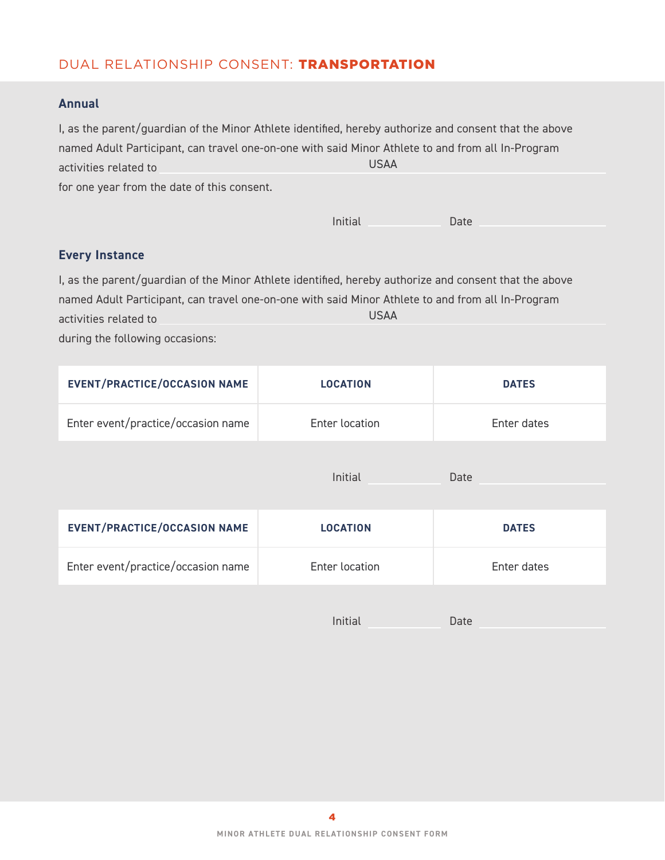## DUAL RELATIONSHIP CONSENT: TRANSPORTATION

#### **Annual**

| I, as the parent/guardian of the Minor Athlete identified, hereby authorize and consent that the above |      |
|--------------------------------------------------------------------------------------------------------|------|
| named Adult Participant, can travel one-on-one with said Minor Athlete to and from all In-Program      |      |
| activities related to                                                                                  | USAA |
| for one year from the date of this consent.                                                            |      |

|  | Initial | Date |
|--|---------|------|
|--|---------|------|

## **Every Instance**

I, as the parent/guardian of the Minor Athlete identified, hereby authorize and consent that the above named Adult Participant, can travel one-on-one with said Minor Athlete to and from all In-Program activities related to USAA<br>
From the date of this consent.<br>
Initial<br>
Wery Instance<br>
as the parent/guardian of the Minor Athlete identified, hereby au<br>
amed Adult Participant, can travel one-on-one with said Minor Ath<br>
tivities related to<br>
USAA<br>

during the following occasions:

| <b>EVENT/PRACTICE/OCCASION NAME</b> | <b>LOCATION</b> | <b>DATES</b> |
|-------------------------------------|-----------------|--------------|
| Enter event/practice/occasion name  | Enter location  | Enter dates  |
|                                     | Initial         | Date         |
| <b>EVENT/PRACTICE/OCCASION NAME</b> | <b>LOCATION</b> | <b>DATES</b> |
| Enter event/practice/occasion name  | Enter location  | Enter dates  |
|                                     | Initial         | Date         |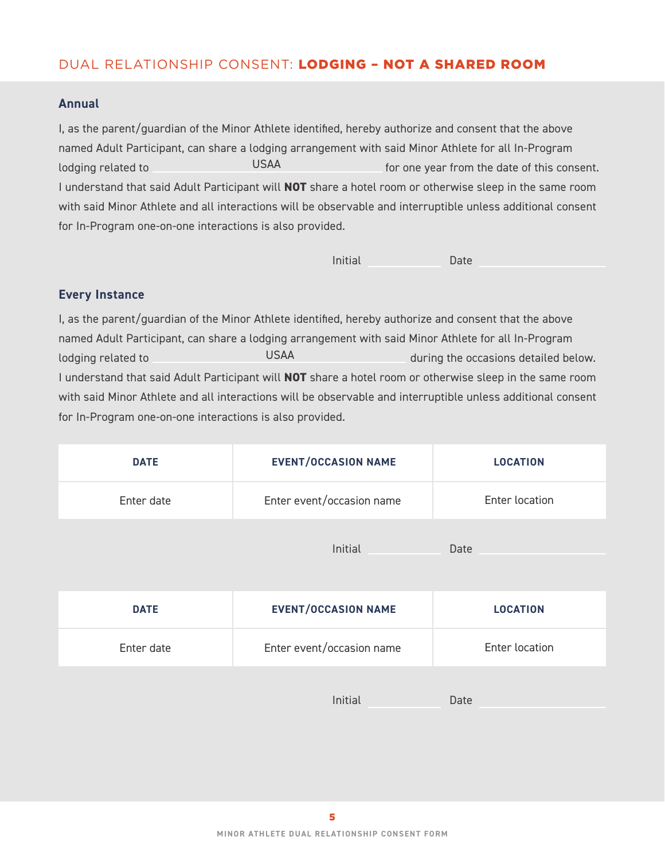# DUAL RELATIONSHIP CONSENT: LODGING – NOT A SHARED ROOM

#### **Annual**

I, as the parent/guardian of the Minor Athlete identified, hereby authorize and consent that the above named Adult Participant, can share a lodging arrangement with said Minor Athlete for all In-Program lodging related to **Form COVID** USAA **For one year from the date of this consent.** I understand that said Adult Participant will **NOT** share a hotel room or otherwise sleep in the same room with said Minor Athlete and all interactions will be observable and interruptible unless additional consent for In-Program one-on-one interactions is also provided. USAA<br>1t will **N**<br>1tions wil<br>1s is also<br>Athlete<br>0dging a<br>USAA

| Initial | Date |
|---------|------|
|         |      |

#### **Every Instance**

I, as the parent/guardian of the Minor Athlete identified, hereby authorize and consent that the above named Adult Participant, can share a lodging arrangement with said Minor Athlete for all In-Program lodging related to **during the occasions detailed below.** during the occasions detailed below. I understand that said Adult Participant will **NOT** share a hotel room or otherwise sleep in the same room with said Minor Athlete and all interactions will be observable and interruptible unless additional consent for In-Program one-on-one interactions is also provided.

| <b>DATE</b> | <b>EVENT/OCCASION NAME</b> | <b>LOCATION</b> |
|-------------|----------------------------|-----------------|
| Enter date  | Enter event/occasion name  | Enter location  |
|             | Initial                    | Date            |
|             |                            |                 |

| <b>DATE</b> | <b>EVENT/OCCASION NAME</b> | <b>LOCATION</b> |
|-------------|----------------------------|-----------------|
| Enter date  | Enter event/occasion name  | Enter location  |
|             |                            |                 |

Initial Date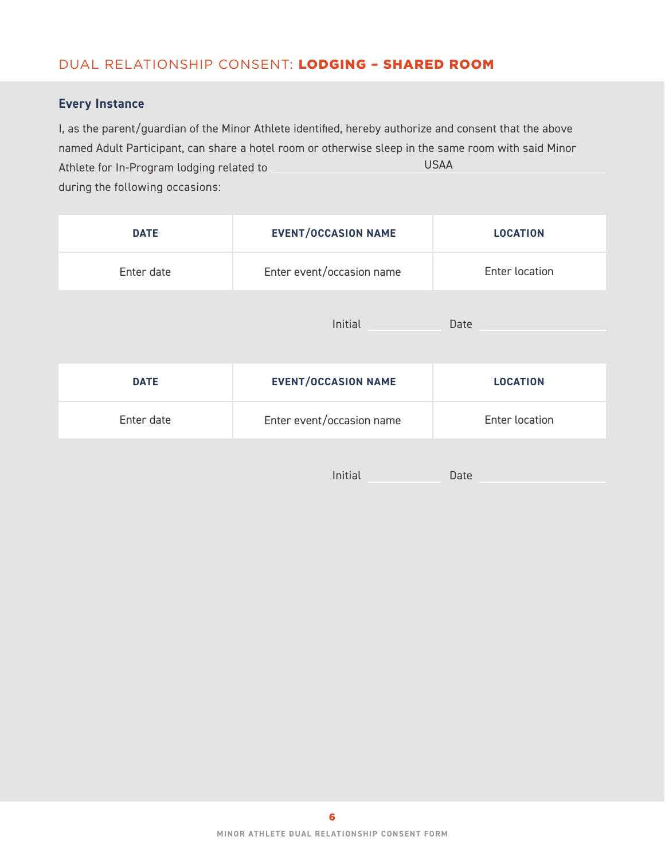# DUAL RELATIONSHIP CONSENT: LODGING – SHARED ROOM

### **Every Instance**

I, as the parent/guardian of the Minor Athlete identified, hereby authorize and consent that the above named Adult Participant, can share a hotel room or otherwise sleep in the same room with said Minor Athlete for In-Program lodging related to during the following occasions: USAA

| <b>DATE</b> | <b>EVENT/OCCASION NAME</b> | <b>LOCATION</b> |
|-------------|----------------------------|-----------------|
| Enter date  | Enter event/occasion name  | Enter location  |
|             | Initial                    | Date            |
| <b>DATE</b> | <b>EVENT/OCCASION NAME</b> | <b>LOCATION</b> |
| Enter date  | Enter event/occasion name  | Enter location  |
|             | Initial                    | Date            |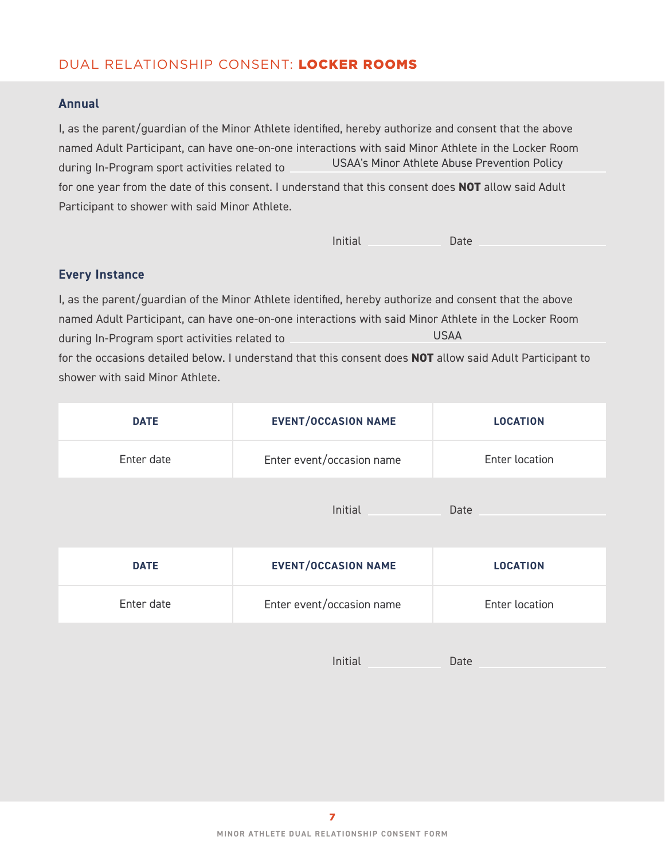# DUAL RELATIONSHIP CONSENT: LOCKER ROOMS

#### **Annual**

I, as the parent/guardian of the Minor Athlete identified, hereby authorize and consent that the above named Adult Participant, can have one-on-one interactions with said Minor Athlete in the Locker Room during In-Program sport activities related to for one year from the date of this consent. I understand that this consent does **NOT** allow said Adult Participant to shower with said Minor Athlete. USAA's Minor Athlete Abuse Prevention Policy

Initial Date

#### **Every Instance**

I, as the parent/guardian of the Minor Athlete identified, hereby authorize and consent that the above named Adult Participant, can have one-on-one interactions with said Minor Athlete in the Locker Room during In-Program sport activities related to for the occasions detailed below. I understand that this consent does **NOT** allow said Adult Participant to shower with said Minor Athlete. USAA

| <b>DATE</b> | <b>EVENT/OCCASION NAME</b> | <b>LOCATION</b> |
|-------------|----------------------------|-----------------|
| Enter date  | Enter event/occasion name  | Enter location  |
|             | Initial                    | Date            |
| <b>DATE</b> | <b>EVENT/OCCASION NAME</b> | <b>LOCATION</b> |
| Enter date  | Enter event/occasion name  | Enter location  |

Initial Date